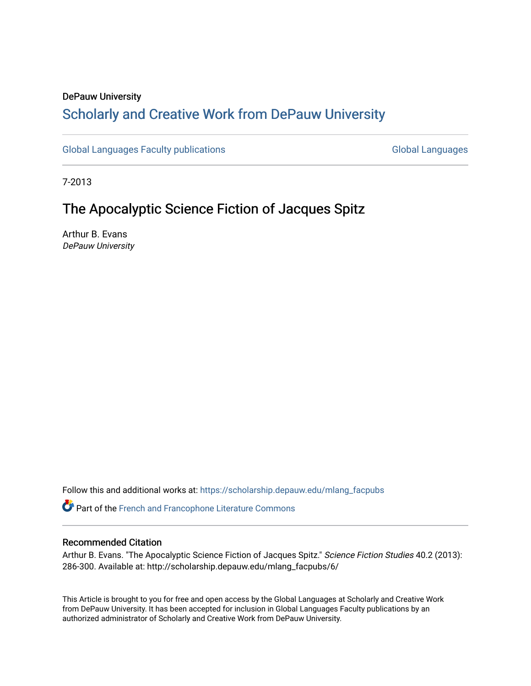## DePauw University

# Scholarly and [Creative Work from DePauw Univ](https://scholarship.depauw.edu/)ersity

[Global Languages Faculty publications](https://scholarship.depauw.edu/mlang_facpubs) [Global Languages](https://scholarship.depauw.edu/modernlanguages) Global Languages

7-2013

## The Apocalyptic Science Fiction of Jacques Spitz

Arthur B. Evans DePauw University

Follow this and additional works at: [https://scholarship.depauw.edu/mlang\\_facpubs](https://scholarship.depauw.edu/mlang_facpubs?utm_source=scholarship.depauw.edu%2Fmlang_facpubs%2F6&utm_medium=PDF&utm_campaign=PDFCoverPages)

Part of the [French and Francophone Literature Commons](https://network.bepress.com/hgg/discipline/465?utm_source=scholarship.depauw.edu%2Fmlang_facpubs%2F6&utm_medium=PDF&utm_campaign=PDFCoverPages) 

## Recommended Citation

Arthur B. Evans. "The Apocalyptic Science Fiction of Jacques Spitz." Science Fiction Studies 40.2 (2013): 286-300. Available at: http://scholarship.depauw.edu/mlang\_facpubs/6/

This Article is brought to you for free and open access by the Global Languages at Scholarly and Creative Work from DePauw University. It has been accepted for inclusion in Global Languages Faculty publications by an authorized administrator of Scholarly and Creative Work from DePauw University.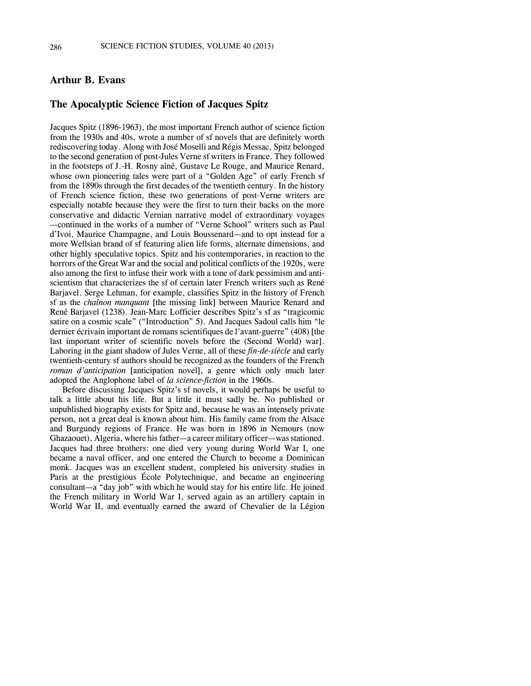## **Arthur B. Evans**

### **The Apocalyptic Science Fiction of Jacques Spitz**

Jacques Spitz (1896-1963), the most important French author of science fiction from the 1930s and 40s, wrote a number of sf novels that are definitely worth rediscovering today. Along with José Moselli and Régis Messac, Spitz belonged to the second generation of post-Jules Verne sf writers in France. They followed in the footsteps of J.-H. Rosny aîné, Gustave Le Rouge, and Maurice Renard, whose own pioneering tales were part of a "Golden Age" of early French sf from the 1890s through the first decades of the twentieth century. In the history of French science fiction, these two generations of post-Verne writers are especially notable because they were the first to turn their backs on the more conservative and didactic Vernian narrative model of extraordinary voyages —continued in the works of a number of "Verne School" writers such as Paul d'Ivoi, Maurice Champagne, and Louis Boussenard—and to opt instead for a more Wellsian brand of sf featuring alien life forms, alternate dimensions, and other highly speculative topics. Spitz and his contemporaries, in reaction to the horrors of the Great War and the social and political conflicts of the 1920s, were also among the first to infuse their work with a tone of dark pessimism and antiscientism that characterizes the sf of certain later French writers such as René Barjavel. Serge Lehman, for example, classifies Spitz in the history of French sf as the *chaînon manquant* [the missing link] between Maurice Renard and René Barjavel (1238). Jean-Marc Lofficier describes Spitz's sf as "tragicomic satire on a cosmic scale" ("Introduction" 5). And Jacques Sadoul calls him "le dernier écrivain important de romans scientifiques de l'avant-guerre" (408) [the last important writer of scientific novels before the (Second World) war]. Laboring in the giant shadow of Jules Verne, all of these *fin-de-siècle* and early twentieth-century sf authors should be recognized as the founders of the French *roman d'anticipation* [anticipation novel], a genre which only much later adopted the Anglophone label of *la science-fiction* in the 1960s.

Before discussing Jacques Spitz's sf novels, it would perhaps be useful to talk a little about his life. But a little it must sadly be. No published or unpublished biography exists for Spitz and, because he was an intensely private person, not a great deal is known about him. His family came from the Alsace and Burgundy regions of France. He was born in 1896 in Nemours (now Ghazaouet), Algeria, where his father—a career military officer—was stationed. Jacques had three brothers: one died very young during World War I, one became a naval officer, and one entered the Church to become a Dominican monk. Jacques was an excellent student, completed his university studies in Paris at the prestigious École Polytechnique, and became an engineering consultant—a "day job" with which he would stay for his entire life. He joined the French military in World War I, served again as an artillery captain in World War II, and eventually earned the award of Chevalier de la Légion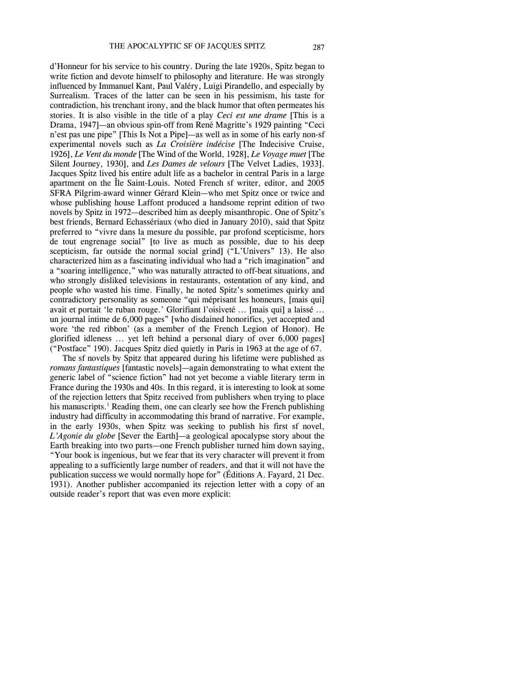d'Honneur for his service to his country. During the late 1920s, Spitz began to write fiction and devote himself to philosophy and literature. He was strongly influenced by Immanuel Kant, Paul Valéry, Luigi Pirandello, and especially by Surrealism. Traces of the latter can be seen in his pessimism, his taste for contradiction, his trenchant irony, and the black humor that often permeates his stories. It is also visible in the title of a play *Ceci est une drame* [This is a Drama, 1947]—an obvious spin-off from René Magritte's 1929 painting "Ceci n'est pas une pipe" [This Is Not a Pipe]—as well as in some of his early non-sf experimental novels such as *La Croisière indécise* [The Indecisive Cruise, 1926], *Le Vent du monde* [The Wind of the World, 1928], *Le Voyage muet* [The Silent Journey, 1930], and *Les Dames de velours* [The Velvet Ladies, 1933]. Jacques Spitz lived his entire adult life as a bachelor in central Paris in a large apartment on the Île Saint-Louis. Noted French sf writer, editor, and 2005 SFRA Pilgrim-award winner Gérard Klein—who met Spitz once or twice and whose publishing house Laffont produced a handsome reprint edition of two novels by Spitz in 1972—described him as deeply misanthropic. One of Spitz's best friends, Bernard Echassériaux (who died in January 2010), said that Spitz preferred to "vivre dans la mesure du possible, par profond scepticisme, hors de tout engrenage social" [to live as much as possible, due to his deep scepticism, far outside the normal social grind] ("L'Univers" 13). He also characterized him as a fascinating individual who had a "rich imagination" and a "soaring intelligence," who was naturally attracted to off-beat situations, and who strongly disliked televisions in restaurants, ostentation of any kind, and people who wasted his time. Finally, he noted Spitz's sometimes quirky and contradictory personality as someone "qui méprisant les honneurs, [mais qui] avait et portait 'le ruban rouge.' Glorifiant l'oisiveté ... [mais qui] a laissé ... un journal intime de 6,000 pages" [who disdained honorifics, yet accepted and wore 'the red ribbon' (as a member of the French Legion of Honor). He glorified idleness ... yet left behind a personal diary of over 6,000 pages] ("Postface" 190). Jacques Spitz died quietly in Paris in 1963 at the age of 67.

The sf novels by Spitz that appeared during his lifetime were published as *romans fantastiques* [fantastic novels]—again demonstrating to what extent the generic label of "science fiction" had not yet become a viable literary term in France during the 1930s and 40s. In this regard, it is interesting to look at some of the rejection letters that Spitz received from publishers when trying to place his manuscripts.<sup>1</sup> Reading them, one can clearly see how the French publishing industry had difficulty in accommodating this brand of narrative. For example, in the early 1930s, when Spitz was seeking to publish his first sf novel, *L'Agonie du globe* [Sever the Earth]—a geological apocalypse story about the Earth breaking into two parts—one French publisher turned him down saying, "Your book is ingenious, but we fear that its very character will prevent it from appealing to a sufficiently large number of readers, and that it will not have the publication success we would normally hope for" (Éditions A. Fayard, 21 Dec. 1931). Another publisher accompanied its rejection letter with a copy of an outside reader's report that was even more explicit: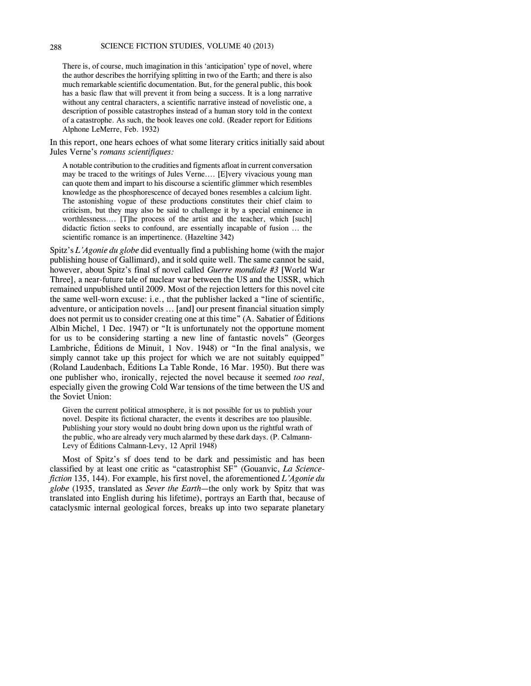There is, of course, much imagination in this 'anticipation' type of novel, where the author describes the horrifying splitting in two of the Earth; and there is also much remarkable scientific documentation. But, for the general public, this book has a basic flaw that will prevent it from being a success. It is a long narrative without any central characters, a scientific narrative instead of novelistic one, a description of possible catastrophes instead of a human story told in the context of a catastrophe. As such, the book leaves one cold. (Reader report for Editions Alphone LeMerre, Feb. 1932)

In this report, one hears echoes of what some literary critics initially said about Jules Verne's *romans scientifiques:* 

A notable contribution to the crudities and figments afloat in current conversation may be traced to the writings of Jules Verne.... [E]very vivacious young man can quote them and impart to his discourse a scientific glimmer which resembles knowledge as the phosphorescence of decayed bones resembles a calcium light. The astonishing vogue of these productions constitutes their chief claim to criticism, but they may also be said to challenge it by a special eminence in worthlessness.... [T]he process of the artist and the teacher, which [such] didactic fiction seeks to confound, are essentially incapable of fusion ... the scientific romance is an impertinence. (Hazeltine 342)

Spitz's *L'Agonie du globe* did eventually find a publishing home (with the major publishing house of Gallimard), and it sold quite well. The same cannot be said, however, about Spitz's final sf novel called *Guerre mondiale #3* [World War Three], a near-future tale of nuclear war between the US and the USSR, which remained unpublished until 2009. Most of the rejection letters for this novel cite the same well-worn excuse: i.e., that the publisher lacked a "line of scientific, adventure, or anticipation novels ... [and] our present financial situation simply does not permit us to consider creating one at this time" (A. Sabatier of Éditions Albin Michel, 1 Dec. 1947) or "It is unfortunately not the opportune moment for us to be considering starting a new line of fantastic novels" (Georges Lambriche, Éditions de Minuit, 1 Nov. 1948) or "In the final analysis, we simply cannot take up this project for which we are not suitably equipped" (Roland Laudenbach, Éditions La Table Ronde, 16 Mar. 1950). But there was one publisher who, ironically, rejected the novel because it seemed *too real*, especially given the growing Cold War tensions of the time between the US and the Soviet Union:

Given the current political atmosphere, it is not possible for us to publish your novel. Despite its fictional character, the events it describes are too plausible. Publishing your story would no doubt bring down upon us the rightful wrath of the public, who are already very much alarmed by these dark days. (P. Calmann-Levy of Éditions Calmann-Levy, 12 April 1948)

Most of Spitz's sf does tend to be dark and pessimistic and has been classified by at least one critic as "catastrophist SF" (Gouanvic, *La Sciencefiction* 135, 144). For example, his first novel, the aforementioned *L'Agonie du globe* (1935, translated as *Sever the Earth*—the only work by Spitz that was translated into English during his lifetime), portrays an Earth that, because of cataclysmic internal geological forces, breaks up into two separate planetary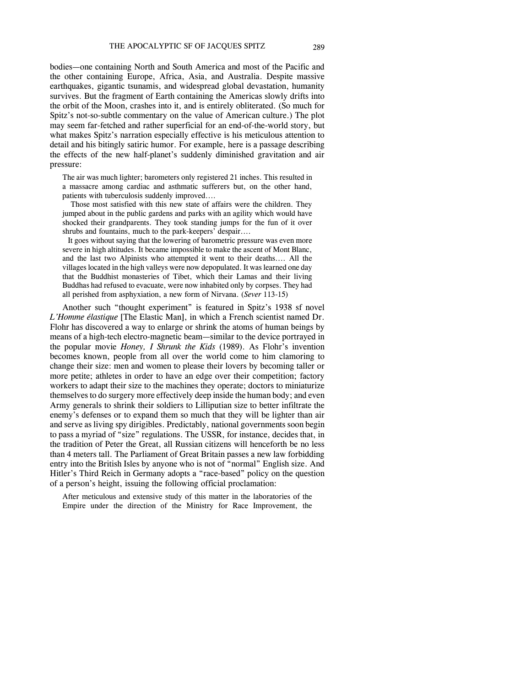bodies—one containing North and South America and most of the Pacific and the other containing Europe, Africa, Asia, and Australia. Despite massive earthquakes, gigantic tsunamis, and widespread global devastation, humanity survives. But the fragment of Earth containing the Americas slowly drifts into the orbit of the Moon, crashes into it, and is entirely obliterated. (So much for Spitz's not-so-subtle commentary on the value of American culture.) The plot may seem far-fetched and rather superficial for an end-of-the-world story, but what makes Spitz's narration especially effective is his meticulous attention to detail and his bitingly satiric humor. For example, here is a passage describing the effects of the new half-planet's suddenly diminished gravitation and air pressure:

The air was much lighter; barometers only registered 21 inches. This resulted in a massacre among cardiac and asthmatic sufferers but, on the other hand, patients with tuberculosis suddenly improved....

 Those most satisfied with this new state of affairs were the children. They jumped about in the public gardens and parks with an agility which would have shocked their grandparents. They took standing jumps for the fun of it over shrubs and fountains, much to the park-keepers' despair....

 It goes without saying that the lowering of barometric pressure was even more severe in high altitudes. It became impossible to make the ascent of Mont Blanc, and the last two Alpinists who attempted it went to their deaths.... All the villages located in the high valleys were now depopulated. It was learned one day that the Buddhist monasteries of Tibet, which their Lamas and their living Buddhas had refused to evacuate, were now inhabited only by corpses. They had all perished from asphyxiation, a new form of Nirvana. (*Sever* 113-15)

Another such "thought experiment" is featured in Spitz's 1938 sf novel *L'Homme élastique* [The Elastic Man], in which a French scientist named Dr. Flohr has discovered a way to enlarge or shrink the atoms of human beings by means of a high-tech electro-magnetic beam—similar to the device portrayed in the popular movie *Honey, I Shrunk the Kids* (1989). As Flohr's invention becomes known, people from all over the world come to him clamoring to change their size: men and women to please their lovers by becoming taller or more petite; athletes in order to have an edge over their competition; factory workers to adapt their size to the machines they operate; doctors to miniaturize themselves to do surgery more effectively deep inside the human body; and even Army generals to shrink their soldiers to Lilliputian size to better infiltrate the enemy's defenses or to expand them so much that they will be lighter than air and serve as living spy dirigibles. Predictably, national governments soon begin to pass a myriad of "size" regulations. The USSR, for instance, decides that, in the tradition of Peter the Great, all Russian citizens will henceforth be no less than 4 meters tall. The Parliament of Great Britain passes a new law forbidding entry into the British Isles by anyone who is not of "normal" English size. And Hitler's Third Reich in Germany adopts a "race-based" policy on the question of a person's height, issuing the following official proclamation:

After meticulous and extensive study of this matter in the laboratories of the Empire under the direction of the Ministry for Race Improvement, the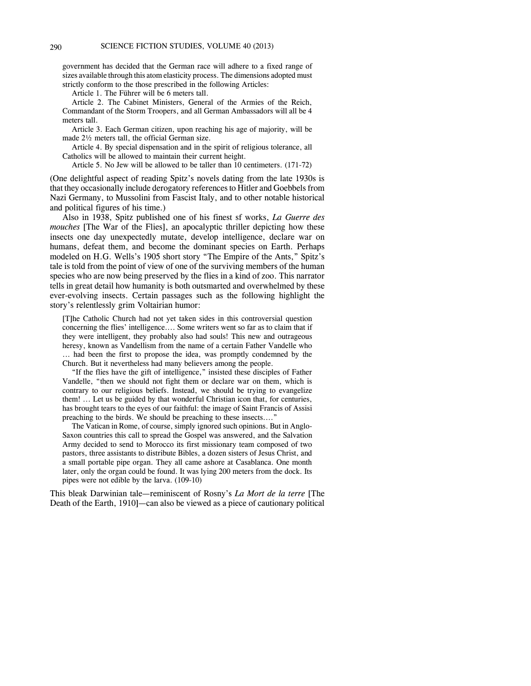government has decided that the German race will adhere to a fixed range of sizes available through this atom elasticity process. The dimensions adopted must strictly conform to the those prescribed in the following Articles:

Article 1. The Führer will be 6 meters tall.

Article 2. The Cabinet Ministers, General of the Armies of the Reich, Commandant of the Storm Troopers, and all German Ambassadors will all be 4 meters tall.

Article 3. Each German citizen, upon reaching his age of majority, will be made 2½ meters tall, the official German size.

Article 4. By special dispensation and in the spirit of religious tolerance, all Catholics will be allowed to maintain their current height.

Article 5. No Jew will be allowed to be taller than 10 centimeters. (171-72)

(One delightful aspect of reading Spitz's novels dating from the late 1930s is that they occasionally include derogatory references to Hitler and Goebbels from Nazi Germany, to Mussolini from Fascist Italy, and to other notable historical and political figures of his time.)

Also in 1938, Spitz published one of his finest sf works, *La Guerre des mouches* [The War of the Flies], an apocalyptic thriller depicting how these insects one day unexpectedly mutate, develop intelligence, declare war on humans, defeat them, and become the dominant species on Earth. Perhaps modeled on H.G. Wells's 1905 short story "The Empire of the Ants," Spitz's tale is told from the point of view of one of the surviving members of the human species who are now being preserved by the flies in a kind of zoo. This narrator tells in great detail how humanity is both outsmarted and overwhelmed by these ever-evolving insects. Certain passages such as the following highlight the story's relentlessly grim Voltairian humor:

[T]he Catholic Church had not yet taken sides in this controversial question concerning the flies' intelligence.... Some writers went so far as to claim that if they were intelligent, they probably also had souls! This new and outrageous heresy, known as Vandellism from the name of a certain Father Vandelle who ... had been the first to propose the idea, was promptly condemned by the Church. But it nevertheless had many believers among the people.

"If the flies have the gift of intelligence," insisted these disciples of Father Vandelle, "then we should not fight them or declare war on them, which is contrary to our religious beliefs. Instead, we should be trying to evangelize them! ... Let us be guided by that wonderful Christian icon that, for centuries, has brought tears to the eyes of our faithful: the image of Saint Francis of Assisi preaching to the birds. We should be preaching to these insects...."

The Vatican in Rome, of course, simply ignored such opinions. But in Anglo-Saxon countries this call to spread the Gospel was answered, and the Salvation Army decided to send to Morocco its first missionary team composed of two pastors, three assistants to distribute Bibles, a dozen sisters of Jesus Christ, and a small portable pipe organ. They all came ashore at Casablanca. One month later, only the organ could be found. It was lying 200 meters from the dock. Its pipes were not edible by the larva. (109-10)

This bleak Darwinian tale—reminiscent of Rosny's *La Mort de la terre* [The Death of the Earth, 1910]—can also be viewed as a piece of cautionary political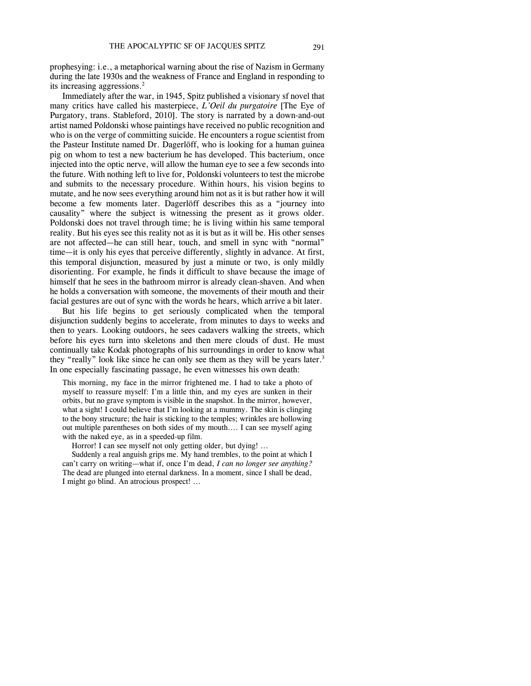prophesying: i.e., a metaphorical warning about the rise of Nazism in Germany during the late 1930s and the weakness of France and England in responding to its increasing aggressions.2

Immediately after the war, in 1945, Spitz published a visionary sf novel that many critics have called his masterpiece, *L'Oeil du purgatoire* [The Eye of Purgatory, trans. Stableford, 2010]. The story is narrated by a down-and-out artist named Poldonski whose paintings have received no public recognition and who is on the verge of committing suicide. He encounters a rogue scientist from the Pasteur Institute named Dr. Dagerlöff, who is looking for a human guinea pig on whom to test a new bacterium he has developed. This bacterium, once injected into the optic nerve, will allow the human eye to see a few seconds into the future. With nothing left to live for, Poldonski volunteers to test the microbe and submits to the necessary procedure. Within hours, his vision begins to mutate, and he now sees everything around him not as it is but rather how it will become a few moments later. Dagerlöff describes this as a "journey into causality" where the subject is witnessing the present as it grows older. Poldonski does not travel through time; he is living within his same temporal reality. But his eyes see this reality not as it is but as it will be. His other senses are not affected—he can still hear, touch, and smell in sync with "normal" time—it is only his eyes that perceive differently, slightly in advance. At first, this temporal disjunction, measured by just a minute or two, is only mildly disorienting. For example, he finds it difficult to shave because the image of himself that he sees in the bathroom mirror is already clean-shaven. And when he holds a conversation with someone, the movements of their mouth and their facial gestures are out of sync with the words he hears, which arrive a bit later.

But his life begins to get seriously complicated when the temporal disjunction suddenly begins to accelerate, from minutes to days to weeks and then to years. Looking outdoors, he sees cadavers walking the streets, which before his eyes turn into skeletons and then mere clouds of dust. He must continually take Kodak photographs of his surroundings in order to know what they "really" look like since he can only see them as they will be years later.<sup>3</sup> In one especially fascinating passage, he even witnesses his own death:

This morning, my face in the mirror frightened me. I had to take a photo of myself to reassure myself: I'm a little thin, and my eyes are sunken in their orbits, but no grave symptom is visible in the snapshot. In the mirror, however, what a sight! I could believe that I'm looking at a mummy. The skin is clinging to the bony structure; the hair is sticking to the temples; wrinkles are hollowing out multiple parentheses on both sides of my mouth.... I can see myself aging with the naked eye, as in a speeded-up film.

Horror! I can see myself not only getting older, but dying! ...

Suddenly a real anguish grips me. My hand trembles, to the point at which I can't carry on writing—what if, once I'm dead, *I can no longer see anything?* The dead are plunged into eternal darkness. In a moment, since I shall be dead, I might go blind. An atrocious prospect! ...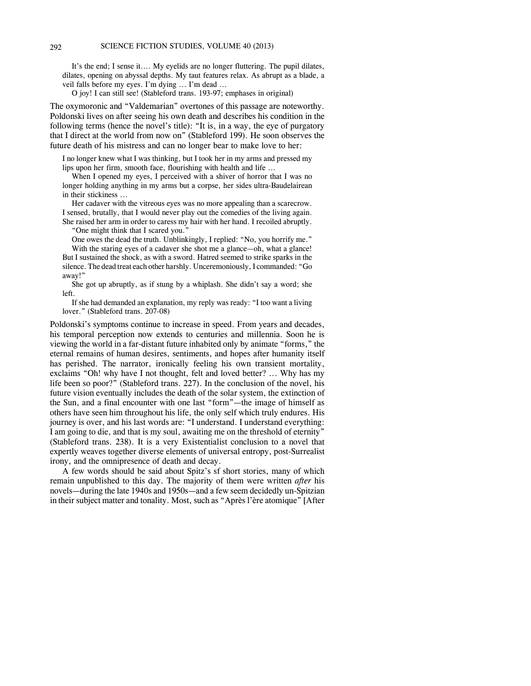It's the end; I sense it.... My eyelids are no longer fluttering. The pupil dilates, dilates, opening on abyssal depths. My taut features relax. As abrupt as a blade, a veil falls before my eyes. I'm dying ... I'm dead ...

O joy! I can still see! (Stableford trans. 193-97; emphases in original)

The oxymoronic and "Valdemarian" overtones of this passage are noteworthy. Poldonski lives on after seeing his own death and describes his condition in the following terms (hence the novel's title): "It is, in a way, the eye of purgatory that I direct at the world from now on" (Stableford 199). He soon observes the future death of his mistress and can no longer bear to make love to her:

I no longer knew what I was thinking, but I took her in my arms and pressed my lips upon her firm, smooth face, flourishing with health and life ...

When I opened my eyes, I perceived with a shiver of horror that I was no longer holding anything in my arms but a corpse, her sides ultra-Baudelairean in their stickiness ...

Her cadaver with the vitreous eyes was no more appealing than a scarecrow. I sensed, brutally, that I would never play out the comedies of the living again. She raised her arm in order to caress my hair with her hand. I recoiled abruptly.

"One might think that I scared you."

One owes the dead the truth. Unblinkingly, I replied: "No, you horrify me." With the staring eyes of a cadaver she shot me a glance—oh, what a glance! But I sustained the shock, as with a sword. Hatred seemed to strike sparks in the silence. The dead treat each other harshly. Unceremoniously, I commanded: "Go away!"

She got up abruptly, as if stung by a whiplash. She didn't say a word; she left.

If she had demanded an explanation, my reply was ready: "I too want a living lover." (Stableford trans. 207-08)

Poldonski's symptoms continue to increase in speed. From years and decades, his temporal perception now extends to centuries and millennia. Soon he is viewing the world in a far-distant future inhabited only by animate "forms," the eternal remains of human desires, sentiments, and hopes after humanity itself has perished. The narrator, ironically feeling his own transient mortality, exclaims "Oh! why have I not thought, felt and loved better? ... Why has my life been so poor?" (Stableford trans. 227). In the conclusion of the novel, his future vision eventually includes the death of the solar system, the extinction of the Sun, and a final encounter with one last "form"—the image of himself as others have seen him throughout his life, the only self which truly endures. His journey is over, and his last words are: "I understand. I understand everything: I am going to die, and that is my soul, awaiting me on the threshold of eternity" (Stableford trans. 238). It is a very Existentialist conclusion to a novel that expertly weaves together diverse elements of universal entropy, post-Surrealist irony, and the omnipresence of death and decay.

A few words should be said about Spitz's sf short stories, many of which remain unpublished to this day. The majority of them were written *after* his novels—during the late 1940s and 1950s—and a few seem decidedly un-Spitzian in their subject matter and tonality. Most, such as "Après l'ère atomique" [After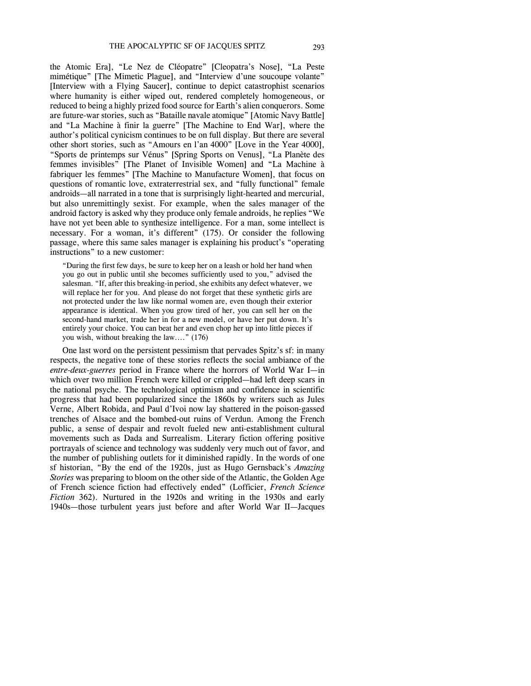the Atomic Era], "Le Nez de Cléopatre" [Cleopatra's Nose], "La Peste mimétique" [The Mimetic Plague], and "Interview d'une soucoupe volante" [Interview with a Flying Saucer], continue to depict catastrophist scenarios where humanity is either wiped out, rendered completely homogeneous, or reduced to being a highly prized food source for Earth's alien conquerors. Some are future-war stories, such as "Bataille navale atomique" [Atomic Navy Battle] and "La Machine à finir la guerre" [The Machine to End War], where the author's political cynicism continues to be on full display. But there are several other short stories, such as "Amours en l'an 4000" [Love in the Year 4000], "Sports de printemps sur Vénus" [Spring Sports on Venus], "La Planète des femmes invisibles" [The Planet of Invisible Women] and "La Machine à fabriquer les femmes" [The Machine to Manufacture Women], that focus on questions of romantic love, extraterrestrial sex, and "fully functional" female androids—all narrated in a tone that is surprisingly light-hearted and mercurial, but also unremittingly sexist. For example, when the sales manager of the android factory is asked why they produce only female androids, he replies "We have not yet been able to synthesize intelligence. For a man, some intellect is necessary. For a woman, it's different" (175). Or consider the following passage, where this same sales manager is explaining his product's "operating instructions" to a new customer:

"During the first few days, be sure to keep her on a leash or hold her hand when you go out in public until she becomes sufficiently used to you," advised the salesman. "If, after this breaking-in period, she exhibits any defect whatever, we will replace her for you. And please do not forget that these synthetic girls are not protected under the law like normal women are, even though their exterior appearance is identical. When you grow tired of her, you can sell her on the second-hand market, trade her in for a new model, or have her put down. It's entirely your choice. You can beat her and even chop her up into little pieces if you wish, without breaking the law...." (176)

One last word on the persistent pessimism that pervades Spitz's sf: in many respects, the negative tone of these stories reflects the social ambiance of the *entre-deux-guerres* period in France where the horrors of World War I—in which over two million French were killed or crippled—had left deep scars in the national psyche. The technological optimism and confidence in scientific progress that had been popularized since the 1860s by writers such as Jules Verne, Albert Robida, and Paul d'Ivoi now lay shattered in the poison-gassed trenches of Alsace and the bombed-out ruins of Verdun. Among the French public, a sense of despair and revolt fueled new anti-establishment cultural movements such as Dada and Surrealism. Literary fiction offering positive portrayals of science and technology was suddenly very much out of favor, and the number of publishing outlets for it diminished rapidly. In the words of one sf historian, "By the end of the 1920s, just as Hugo Gernsback's *Amazing Stories* was preparing to bloom on the other side of the Atlantic, the Golden Age of French science fiction had effectively ended" (Lofficier, *French Science Fiction* 362). Nurtured in the 1920s and writing in the 1930s and early 1940s—those turbulent years just before and after World War II—Jacques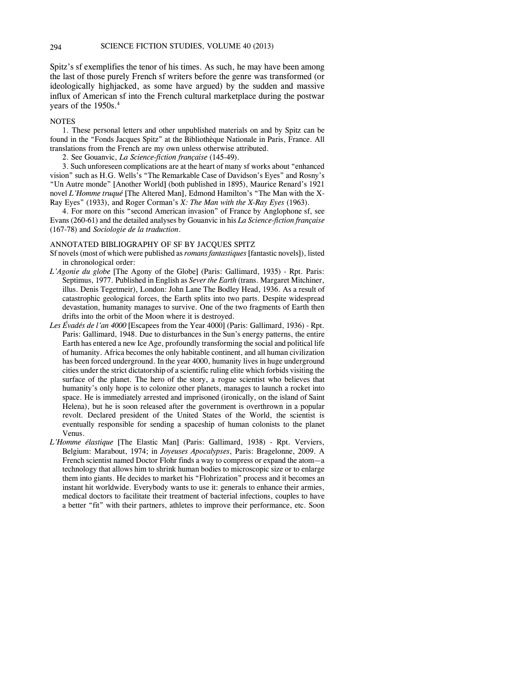Spitz's sf exemplifies the tenor of his times. As such, he may have been among the last of those purely French sf writers before the genre was transformed (or ideologically highjacked, as some have argued) by the sudden and massive influx of American sf into the French cultural marketplace during the postwar years of the 1950s.<sup>4</sup>

#### **NOTES**

1. These personal letters and other unpublished materials on and by Spitz can be found in the "Fonds Jacques Spitz" at the Bibliothèque Nationale in Paris, France. All translations from the French are my own unless otherwise attributed.

2. See Gouanvic, *La Science-fiction française* (145-49).

3. Such unforeseen complications are at the heart of many sf works about "enhanced vision" such as H.G. Wells's "The Remarkable Case of Davidson's Eyes" and Rosny's "Un Autre monde" [Another World] (both published in 1895), Maurice Renard's 1921 novel *L'Homme truqué* [The Altered Man], Edmond Hamilton's "The Man with the X-Ray Eyes" (1933), and Roger Corman's *X: The Man with the X-Ray Eyes* (1963).

4. For more on this "second American invasion" of France by Anglophone sf, see Evans (260-61) and the detailed analyses by Gouanvic in his *La Science-fiction française* (167-78) and *Sociologie de la traduction*.

#### ANNOTATED BIBLIOGRAPHY OF SF BY JACQUES SPITZ

- Sf novels (most of which were published as *romans fantastiques* [fantastic novels]), listed in chronological order:
- *L'Agonie du globe* [The Agony of the Globe] (Paris: Gallimard, 1935) Rpt. Paris: Septimus, 1977. Published in English as *Sever the Earth* (trans. Margaret Mitchiner, illus. Denis Tegetmeir), London: John Lane The Bodley Head, 1936. As a result of catastrophic geological forces, the Earth splits into two parts. Despite widespread devastation, humanity manages to survive. One of the two fragments of Earth then drifts into the orbit of the Moon where it is destroyed.
- *Les Évadés de l'an 4000* [Escapees from the Year 4000] (Paris: Gallimard, 1936) Rpt. Paris: Gallimard, 1948. Due to disturbances in the Sun's energy patterns, the entire Earth has entered a new Ice Age, profoundly transforming the social and political life of humanity. Africa becomes the only habitable continent, and all human civilization has been forced underground. In the year 4000, humanity lives in huge underground cities under the strict dictatorship of a scientific ruling elite which forbids visiting the surface of the planet. The hero of the story, a rogue scientist who believes that humanity's only hope is to colonize other planets, manages to launch a rocket into space. He is immediately arrested and imprisoned (ironically, on the island of Saint Helena), but he is soon released after the government is overthrown in a popular revolt. Declared president of the United States of the World, the scientist is eventually responsible for sending a spaceship of human colonists to the planet Venus.
- *L'Homme élastique* [The Elastic Man] (Paris: Gallimard, 1938) Rpt. Verviers, Belgium: Marabout, 1974; in *Joyeuses Apocalypses*, Paris: Bragelonne, 2009. A French scientist named Doctor Flohr finds a way to compress or expand the atom—a technology that allows him to shrink human bodies to microscopic size or to enlarge them into giants. He decides to market his "Flohrization" process and it becomes an instant hit worldwide. Everybody wants to use it: generals to enhance their armies, medical doctors to facilitate their treatment of bacterial infections, couples to have a better "fit" with their partners, athletes to improve their performance, etc. Soon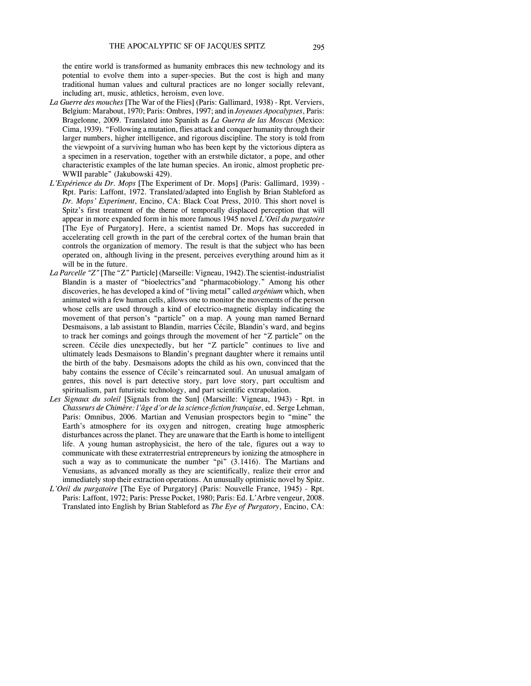the entire world is transformed as humanity embraces this new technology and its potential to evolve them into a super-species. But the cost is high and many traditional human values and cultural practices are no longer socially relevant, including art, music, athletics, heroism, even love.

- *La Guerre des mouches* [The War of the Flies] (Paris: Gallimard, 1938) Rpt. Verviers, Belgium: Marabout, 1970; Paris: Ombres, 1997; and in *Joyeuses Apocalypses*, Paris: Bragelonne, 2009. Translated into Spanish as *La Guerra de las Moscas* (Mexico: Cima, 1939). "Following a mutation, flies attack and conquer humanity through their larger numbers, higher intelligence, and rigorous discipline. The story is told from the viewpoint of a surviving human who has been kept by the victorious diptera as a specimen in a reservation, together with an erstwhile dictator, a pope, and other characteristic examples of the late human species. An ironic, almost prophetic pre-WWII parable" (Jakubowski 429).
- *L'Expérience du Dr. Mops* [The Experiment of Dr. Mops] (Paris: Gallimard, 1939) Rpt. Paris: Laffont, 1972. Translated/adapted into English by Brian Stableford as *Dr. Mops' Experiment*, Encino, CA: Black Coat Press, 2010. This short novel is Spitz's first treatment of the theme of temporally displaced perception that will appear in more expanded form in his more famous 1945 novel *L'Oeil du purgatoire* [The Eye of Purgatory]. Here, a scientist named Dr. Mops has succeeded in accelerating cell growth in the part of the cerebral cortex of the human brain that controls the organization of memory. The result is that the subject who has been operated on, although living in the present, perceives everything around him as it will be in the future.
- *La Parcelle "Z"* [The "Z" Particle] (Marseille: Vigneau, 1942).The scientist-industrialist Blandin is a master of "bioelectrics"and "pharmacobiology." Among his other discoveries, he has developed a kind of "living metal" called *argénium* which, when animated with a few human cells, allows one to monitor the movements of the person whose cells are used through a kind of electrico-magnetic display indicating the movement of that person's "particle" on a map. A young man named Bernard Desmaisons, a lab assistant to Blandin, marries Cécile, Blandin's ward, and begins to track her comings and goings through the movement of her "Z particle" on the screen. Cécile dies unexpectedly, but her "Z particle" continues to live and ultimately leads Desmaisons to Blandin's pregnant daughter where it remains until the birth of the baby. Desmaisons adopts the child as his own, convinced that the baby contains the essence of Cécile's reincarnated soul. An unusual amalgam of genres, this novel is part detective story, part love story, part occultism and spiritualism, part futuristic technology, and part scientific extrapolation.
- *Les Signaux du soleil* [Signals from the Sun] (Marseille: Vigneau, 1943) Rpt. in *Chasseurs de Chimère: l'âge d'or de la science-fiction française*, ed. Serge Lehman, Paris: Omnibus, 2006. Martian and Venusian prospectors begin to "mine" the Earth's atmosphere for its oxygen and nitrogen, creating huge atmospheric disturbances across the planet. They are unaware that the Earth is home to intelligent life. A young human astrophysicist, the hero of the tale, figures out a way to communicate with these extraterrestrial entrepreneurs by ionizing the atmosphere in such a way as to communicate the number "pi" (3.1416). The Martians and Venusians, as advanced morally as they are scientifically, realize their error and immediately stop their extraction operations. An unusually optimistic novel by Spitz.
- *L'Oeil du purgatoire* [The Eye of Purgatory] (Paris: Nouvelle France, 1945) Rpt. Paris: Laffont, 1972; Paris: Presse Pocket, 1980; Paris: Ed. L'Arbre vengeur, 2008. Translated into English by Brian Stableford as *The Eye of Purgatory*, Encino, CA: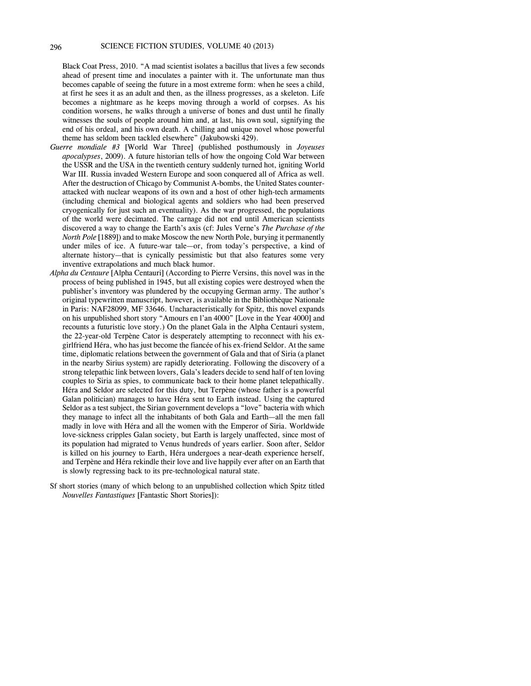Black Coat Press, 2010. "A mad scientist isolates a bacillus that lives a few seconds ahead of present time and inoculates a painter with it. The unfortunate man thus becomes capable of seeing the future in a most extreme form: when he sees a child, at first he sees it as an adult and then, as the illness progresses, as a skeleton. Life becomes a nightmare as he keeps moving through a world of corpses. As his condition worsens, he walks through a universe of bones and dust until he finally witnesses the souls of people around him and, at last, his own soul, signifying the end of his ordeal, and his own death. A chilling and unique novel whose powerful theme has seldom been tackled elsewhere" (Jakubowski 429).

- *Guerre mondiale #3* [World War Three] (published posthumously in *Joyeuses apocalypses*, 2009). A future historian tells of how the ongoing Cold War between the USSR and the USA in the twentieth century suddenly turned hot, igniting World War III. Russia invaded Western Europe and soon conquered all of Africa as well. After the destruction of Chicago by Communist A-bombs, the United States counterattacked with nuclear weapons of its own and a host of other high-tech armaments (including chemical and biological agents and soldiers who had been preserved cryogenically for just such an eventuality). As the war progressed, the populations of the world were decimated. The carnage did not end until American scientists discovered a way to change the Earth's axis (cf: Jules Verne's *The Purchase of the North Pole* [1889]) and to make Moscow the new North Pole, burying it permanently under miles of ice. A future-war tale—or, from today's perspective, a kind of alternate history—that is cynically pessimistic but that also features some very inventive extrapolations and much black humor.
- *Alpha du Centaure* [Alpha Centauri] (According to Pierre Versins, this novel was in the process of being published in 1945, but all existing copies were destroyed when the publisher's inventory was plundered by the occupying German army. The author's original typewritten manuscript, however, is available in the Bibliothèque Nationale in Paris: NAF28099, MF 33646. Uncharacteristically for Spitz, this novel expands on his unpublished short story "Amours en l'an 4000" [Love in the Year 4000] and recounts a futuristic love story.) On the planet Gala in the Alpha Centauri system, the 22-year-old Terpène Cator is desperately attempting to reconnect with his exgirlfriend Héra, who has just become the fiancée of his ex-friend Seldor. At the same time, diplomatic relations between the government of Gala and that of Siria (a planet in the nearby Sirius system) are rapidly deteriorating. Following the discovery of a strong telepathic link between lovers, Gala's leaders decide to send half of ten loving couples to Siria as spies, to communicate back to their home planet telepathically. Héra and Seldor are selected for this duty, but Terpène (whose father is a powerful Galan politician) manages to have Héra sent to Earth instead. Using the captured Seldor as a test subject, the Sirian government develops a "love" bacteria with which they manage to infect all the inhabitants of both Gala and Earth—all the men fall madly in love with Héra and all the women with the Emperor of Siria. Worldwide love-sickness cripples Galan society, but Earth is largely unaffected, since most of its population had migrated to Venus hundreds of years earlier. Soon after, Seldor is killed on his journey to Earth, Héra undergoes a near-death experience herself, and Terpène and Héra rekindle their love and live happily ever after on an Earth that is slowly regressing back to its pre-technological natural state.
- Sf short stories (many of which belong to an unpublished collection which Spitz titled *Nouvelles Fantastiques* [Fantastic Short Stories]):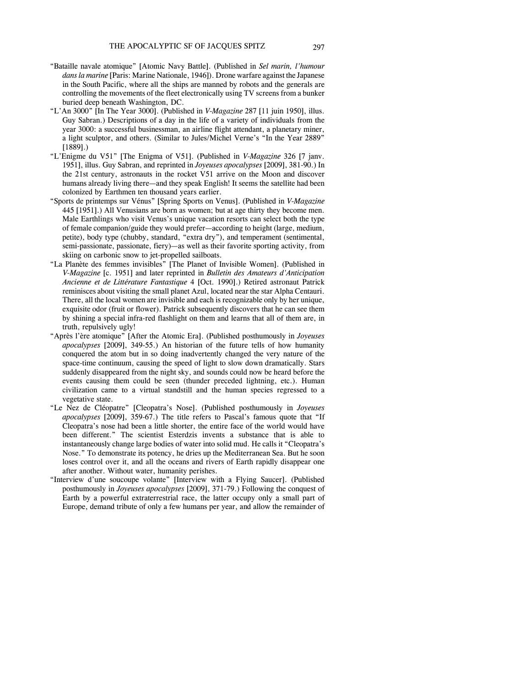- "Bataille navale atomique" [Atomic Navy Battle]. (Published in *Sel marin, l'humour dans la marine* [Paris: Marine Nationale, 1946]). Drone warfare against the Japanese in the South Pacific, where all the ships are manned by robots and the generals are controlling the movements of the fleet electronically using TV screens from a bunker buried deep beneath Washington, DC.
- "L'An 3000" [In The Year 3000]. (Published in *V-Magazine* 287 [11 juin 1950], illus. Guy Sabran.) Descriptions of a day in the life of a variety of individuals from the year 3000: a successful businessman, an airline flight attendant, a planetary miner, a light sculptor, and others. (Similar to Jules/Michel Verne's "In the Year 2889" [1889].)
- "L'Enigme du V51" [The Enigma of V51]. (Published in *V-Magazine* 326 [7 janv. 1951], illus. Guy Sabran, and reprinted in *Joyeuses apocalypses* [2009], 381-90.) In the 21st century, astronauts in the rocket V51 arrive on the Moon and discover humans already living there—and they speak English! It seems the satellite had been colonized by Earthmen ten thousand years earlier.
- "Sports de printemps sur Vénus" [Spring Sports on Venus]. (Published in *V-Magazine* 445 [1951].) All Venusians are born as women; but at age thirty they become men. Male Earthlings who visit Venus's unique vacation resorts can select both the type of female companion/guide they would prefer—according to height (large, medium, petite), body type (chubby, standard, "extra dry"), and temperament (sentimental, semi-passionate, passionate, fiery)—as well as their favorite sporting activity, from skiing on carbonic snow to jet-propelled sailboats.
- "La Planète des femmes invisibles" [The Planet of Invisible Women]. (Published in *V-Magazine* [c. 1951] and later reprinted in *Bulletin des Amateurs d'Anticipation Ancienne et de Littérature Fantastique* 4 [Oct. 1990].) Retired astronaut Patrick reminisces about visiting the small planet Azul, located near the star Alpha Centauri. There, all the local women are invisible and each is recognizable only by her unique, exquisite odor (fruit or flower). Patrick subsequently discovers that he can see them by shining a special infra-red flashlight on them and learns that all of them are, in truth, repulsively ugly!
- "Après l'ère atomique" [After the Atomic Era]. (Published posthumously in *Joyeuses apocalypses* [2009], 349-55.) An historian of the future tells of how humanity conquered the atom but in so doing inadvertently changed the very nature of the space-time continuum, causing the speed of light to slow down dramatically. Stars suddenly disappeared from the night sky, and sounds could now be heard before the events causing them could be seen (thunder preceded lightning, etc.). Human civilization came to a virtual standstill and the human species regressed to a vegetative state.
- "Le Nez de Cléopatre" [Cleopatra's Nose]. (Published posthumously in *Joyeuses apocalypses* [2009], 359-67.) The title refers to Pascal's famous quote that "If Cleopatra's nose had been a little shorter, the entire face of the world would have been different." The scientist Esterdzis invents a substance that is able to instantaneously change large bodies of water into solid mud. He calls it "Cleopatra's Nose." To demonstrate its potency, he dries up the Mediterranean Sea. But he soon loses control over it, and all the oceans and rivers of Earth rapidly disappear one after another. Without water, humanity perishes.
- "Interview d'une soucoupe volante" [Interview with a Flying Saucer]. (Published posthumously in *Joyeuses apocalypses* [2009], 371-79.) Following the conquest of Earth by a powerful extraterrestrial race, the latter occupy only a small part of Europe, demand tribute of only a few humans per year, and allow the remainder of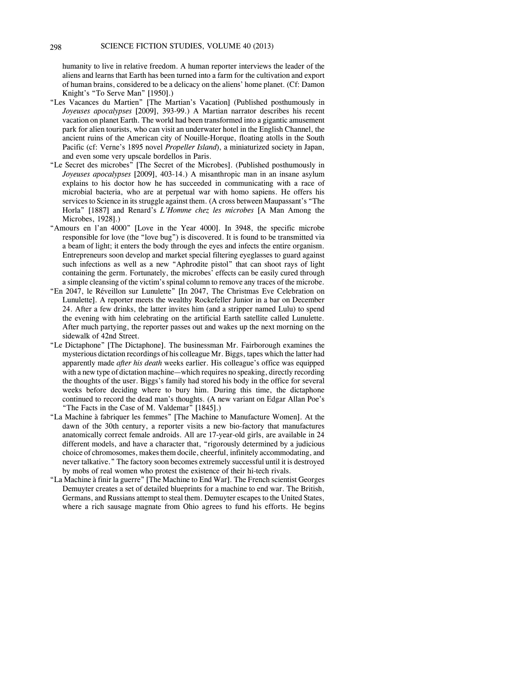humanity to live in relative freedom. A human reporter interviews the leader of the aliens and learns that Earth has been turned into a farm for the cultivation and export of human brains, considered to be a delicacy on the aliens' home planet. (Cf: Damon Knight's "To Serve Man" [1950].)

- "Les Vacances du Martien" [The Martian's Vacation] (Published posthumously in *Joyeuses apocalypses* [2009], 393-99.) A Martian narrator describes his recent vacation on planet Earth. The world had been transformed into a gigantic amusement park for alien tourists, who can visit an underwater hotel in the English Channel, the ancient ruins of the American city of Nouille-Horque, floating atolls in the South Pacific (cf: Verne's 1895 novel *Propeller Island*), a miniaturized society in Japan, and even some very upscale bordellos in Paris.
- "Le Secret des microbes" [The Secret of the Microbes]. (Published posthumously in *Joyeuses apocalypses* [2009], 403-14.) A misanthropic man in an insane asylum explains to his doctor how he has succeeded in communicating with a race of microbial bacteria, who are at perpetual war with homo sapiens. He offers his services to Science in its struggle against them. (A cross between Maupassant's "The Horla" [1887] and Renard's *L'Homme chez les microbes* [A Man Among the Microbes, 1928].)
- "Amours en l'an 4000" [Love in the Year 4000]. In 3948, the specific microbe responsible for love (the "love bug") is discovered. It is found to be transmitted via a beam of light; it enters the body through the eyes and infects the entire organism. Entrepreneurs soon develop and market special filtering eyeglasses to guard against such infections as well as a new "Aphrodite pistol" that can shoot rays of light containing the germ. Fortunately, the microbes' effects can be easily cured through a simple cleansing of the victim's spinal column to remove any traces of the microbe.
- "En 2047, le Réveillon sur Lunulette" [In 2047, The Christmas Eve Celebration on Lunulette]. A reporter meets the wealthy Rockefeller Junior in a bar on December 24. After a few drinks, the latter invites him (and a stripper named Lulu) to spend the evening with him celebrating on the artificial Earth satellite called Lunulette. After much partying, the reporter passes out and wakes up the next morning on the sidewalk of 42nd Street.
- "Le Dictaphone" [The Dictaphone]. The businessman Mr. Fairborough examines the mysterious dictation recordings of his colleague Mr. Biggs, tapes which the latter had apparently made *after his death* weeks earlier. His colleague's office was equipped with a new type of dictation machine—which requires no speaking, directly recording the thoughts of the user. Biggs's family had stored his body in the office for several weeks before deciding where to bury him. During this time, the dictaphone continued to record the dead man's thoughts. (A new variant on Edgar Allan Poe's "The Facts in the Case of M. Valdemar" [1845].)
- "La Machine à fabriquer les femmes" [The Machine to Manufacture Women]. At the dawn of the 30th century, a reporter visits a new bio-factory that manufactures anatomically correct female androids. All are 17-year-old girls, are available in 24 different models, and have a character that, "rigorously determined by a judicious choice of chromosomes, makes them docile, cheerful, infinitely accommodating, and never talkative." The factory soon becomes extremely successful until it is destroyed by mobs of real women who protest the existence of their hi-tech rivals.
- "La Machine à finir la guerre" [The Machine to End War]. The French scientist Georges Demuyter creates a set of detailed blueprints for a machine to end war. The British, Germans, and Russians attempt to steal them. Demuyter escapes to the United States, where a rich sausage magnate from Ohio agrees to fund his efforts. He begins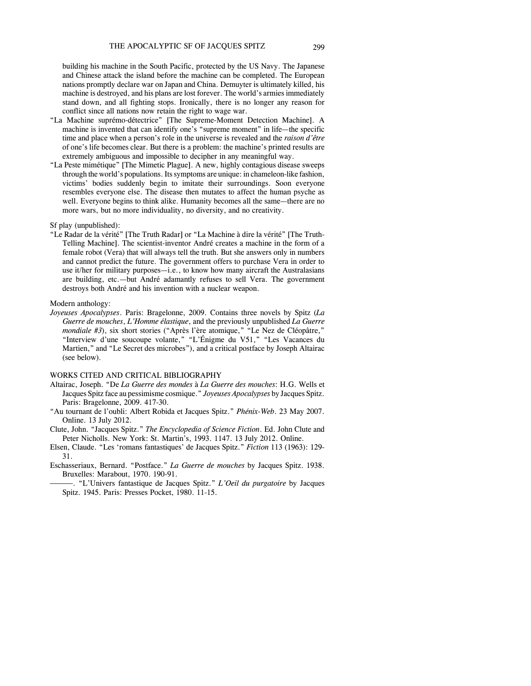building his machine in the South Pacific, protected by the US Navy. The Japanese and Chinese attack the island before the machine can be completed. The European nations promptly declare war on Japan and China. Demuyter is ultimately killed, his machine is destroyed, and his plans are lost forever. The world's armies immediately stand down, and all fighting stops. Ironically, there is no longer any reason for conflict since all nations now retain the right to wage war.

- "La Machine suprémo-détectrice" [The Supreme-Moment Detection Machine]. A machine is invented that can identify one's "supreme moment" in life—the specific time and place when a person's role in the universe is revealed and the *raison d'être* of one's life becomes clear. But there is a problem: the machine's printed results are extremely ambiguous and impossible to decipher in any meaningful way.
- "La Peste mimétique" [The Mimetic Plague]. A new, highly contagious disease sweeps through the world's populations. Its symptoms are unique: in chameleon-like fashion, victims' bodies suddenly begin to imitate their surroundings. Soon everyone resembles everyone else. The disease then mutates to affect the human psyche as well. Everyone begins to think alike. Humanity becomes all the same—there are no more wars, but no more individuality, no diversity, and no creativity.

#### Sf play (unpublished):

"Le Radar de la vérité" [The Truth Radar] or "La Machine à dire la vérité" [The Truth-Telling Machine]. The scientist-inventor André creates a machine in the form of a female robot (Vera) that will always tell the truth. But she answers only in numbers and cannot predict the future. The government offers to purchase Vera in order to use it/her for military purposes—i.e., to know how many aircraft the Australasians are building, etc.—but André adamantly refuses to sell Vera. The government destroys both André and his invention with a nuclear weapon.

#### Modern anthology:

*Joyeuses Apocalypses*. Paris: Bragelonne, 2009. Contains three novels by Spitz (*La Guerre de mouches*, *L'Homme élastique*, and the previously unpublished *La Guerre mondiale #3*), six short stories ("Après l'ère atomique," "Le Nez de Cléopâtre," "Interview d'une soucoupe volante," "L'Énigme du V51," "Les Vacances du Martien," and "Le Secret des microbes"), and a critical postface by Joseph Altairac (see below).

#### WORKS CITED AND CRITICAL BIBLIOGRAPHY

- Altairac, Joseph. "De *La Guerre des mondes* à *La Guerre des mouches*: H.G. Wells et Jacques Spitz face au pessimisme cosmique." *Joyeuses Apocalypses* by Jacques Spitz. Paris: Bragelonne, 2009. 417-30.
- "Au tournant de l'oubli: Albert Robida et Jacques Spitz." *Phénix-Web*. 23 May 2007. Online. 13 July 2012.
- Clute, John. "Jacques Spitz." *The Encyclopedia of Science Fiction*. Ed. John Clute and Peter Nicholls. New York: St. Martin's, 1993. 1147. 13 July 2012. Online.
- Elsen, Claude. "Les 'romans fantastiques' de Jacques Spitz." *Fiction* 113 (1963): 129- 31.
- Eschasseriaux, Bernard. "Postface." *La Guerre de mouches* by Jacques Spitz. 1938. Bruxelles: Marabout, 1970. 190-91.
	- ))))). "L'Univers fantastique de Jacques Spitz." *L'Oeil du purgatoire* by Jacques Spitz. 1945. Paris: Presses Pocket, 1980. 11-15.